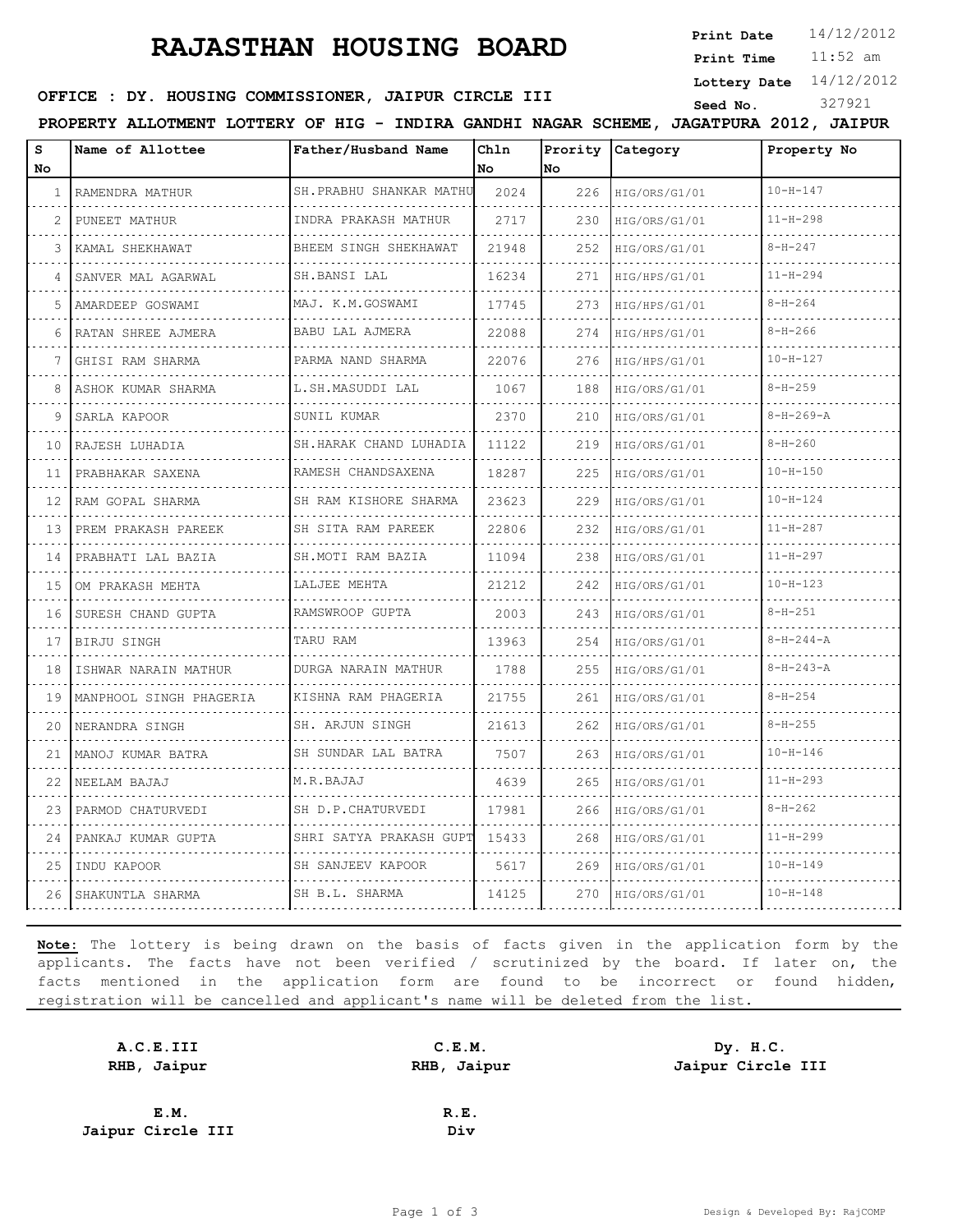## **RAJASTHAN HOUSING BOARD**

**Print Date**  $14/12/2012$ 

11:52 am **Print Time**

**Lottery Date** 14/12/2012

#### **SEED OFFICE : DY. HOUSING COMMISSIONER, JAIPUR CIRCLE III** Seed No. 327921

**PROPERTY ALLOTMENT LOTTERY OF HIG - INDIRA GANDHI NAGAR SCHEME, JAGATPURA 2012, JAIPUR**

| s<br><b>No</b> | Name of Allottee        | Father/Husband Name        | Chln<br><b>No</b> | Prority<br>lno. | Category      | Property No       |
|----------------|-------------------------|----------------------------|-------------------|-----------------|---------------|-------------------|
| 1              | RAMENDRA MATHUR         | SH.PRABHU SHANKAR MATHU    | 2024              | 226             | HIG/ORS/G1/01 | $10 - H - 147$    |
|                | PUNEET MATHUR           | INDRA PRAKASH MATHUR       | 2717              | 230             | HIG/ORS/G1/01 | $11 - H - 298$    |
| 3              | KAMAL SHEKHAWAT         | BHEEM SINGH SHEKHAWAT      | 21948             | 252             | HIG/ORS/G1/01 | $8 - H - 247$     |
| 4              | SANVER MAL AGARWAL      | SH.BANSI LAL               | 16234             | 271             | HIG/HPS/G1/01 | $11 - H - 294$    |
| 5              | AMARDEEP GOSWAMI        | MAJ. K.M.GOSWAMI           | 17745             | 273             | HIG/HPS/G1/01 | $8 - H - 264$     |
|                | RATAN SHREE AJMERA      | BABU LAL AJMERA            | 22088             | 274             | HIG/HPS/G1/01 | $8 - H - 266$     |
|                | GHISI RAM SHARMA        | .<br>PARMA NAND SHARMA     | 22076             | 276             | HIG/HPS/G1/01 | $10 - H - 127$    |
| 8              | ASHOK KUMAR SHARMA      | L.SH.MASUDDI LAL           | 1067              | 188             | HIG/ORS/G1/01 | $8 - H - 259$     |
| 9              | SARLA KAPOOR            | SUNIL KUMAR                | 2370              | 210             | HIG/ORS/G1/01 | $8-H-269-A$       |
| 10             | RAJESH LUHADIA          | SH.HARAK CHAND LUHADIA     | 11122             | 219             | HIG/ORS/G1/01 | $8 - H - 260$     |
| 11             | PRABHAKAR SAXENA        | RAMESH CHANDSAXENA         | 18287             | 225             | HIG/ORS/G1/01 | $10 - H - 150$    |
| 12             | RAM GOPAL SHARMA        | SH RAM KISHORE SHARMA<br>. | 23623             | 229             | HIG/ORS/G1/01 | $10 - H - 124$    |
| 13             | PREM PRAKASH PAREEK     | SH SITA RAM PAREEK         | 22806             | 232             | HIG/ORS/G1/01 | $11 - H - 287$    |
| 14             | PRABHATI LAL BAZIA      | SH.MOTI RAM BAZIA          | 11094             | 238             | HIG/ORS/G1/01 | $11 - H - 297$    |
| 15             | OM PRAKASH MEHTA<br>.   | LALJEE MEHTA               | 21212             | 242             | HIG/ORS/G1/01 | $10 - H - 123$    |
| 16             | SURESH CHAND GUPTA      | RAMSWROOP GUPTA            | 2003              | 243             | HIG/ORS/G1/01 | $8 - H - 251$     |
| 17             | BIRJU SINGH             | TARU RAM                   | 13963             | 254             | HIG/ORS/G1/01 | $8 - H - 244 - A$ |
| 18             | ISHWAR NARAIN MATHUR    | DURGA NARAIN MATHUR<br>.   | 1788              | 255             | HIG/ORS/G1/01 | $8 - H - 243 - A$ |
| 19             | MANPHOOL SINGH PHAGERIA | KISHNA RAM PHAGERIA        | 21755             | 261             | HIG/ORS/G1/01 | $8 - H - 254$     |
| 20             | NERANDRA SINGH          | SH. ARJUN SINGH            | 21613             | 262             | HIG/ORS/G1/01 | $8 - H - 255$     |
| 21             | MANOJ KUMAR BATRA       | SH SUNDAR LAL BATRA        | 7507              | 263             | HIG/ORS/G1/01 | $10 - H - 146$    |
| 22             | NEELAM BAJAJ            | M.R.BAJAJ                  | 4639              | 265             | HIG/ORS/G1/01 | $11 - H - 293$    |
| 23             | PARMOD CHATURVEDI       | SH D.P.CHATURVEDI          | 17981             | 266             | HIG/ORS/G1/01 | $8 - H - 262$     |
| 24             | PANKAJ KUMAR GUPTA      | SHRI SATYA PRAKASH GUPT    | 15433             | 268             | HIG/ORS/G1/01 | $11 - H - 299$    |
| 25             | INDU KAPOOR             | SH SANJEEV KAPOOR          | 5617              | 269             | HIG/ORS/G1/01 | $10 - H - 149$    |
| 26             | SHAKUNTLA SHARMA        | SH B.L. SHARMA             | 14125             | 270             | HIG/ORS/G1/01 | $10 - H - 148$    |

**Note:** The lottery is being drawn on the basis of facts given in the application form by the applicants. The facts have not been verified / scrutinized by the board. If later on, the facts mentioned in the application form are found to be incorrect or found hidden, registration will be cancelled and applicant's name will be deleted from the list.

| A.C.E.III         | C.E.M.      | Dy. H.C.          |
|-------------------|-------------|-------------------|
| RHB, Jaipur       | RHB, Jaipur | Jaipur Circle III |
|                   |             |                   |
| E.M.              | R.E.        |                   |
| Jaipur Circle III | Div         |                   |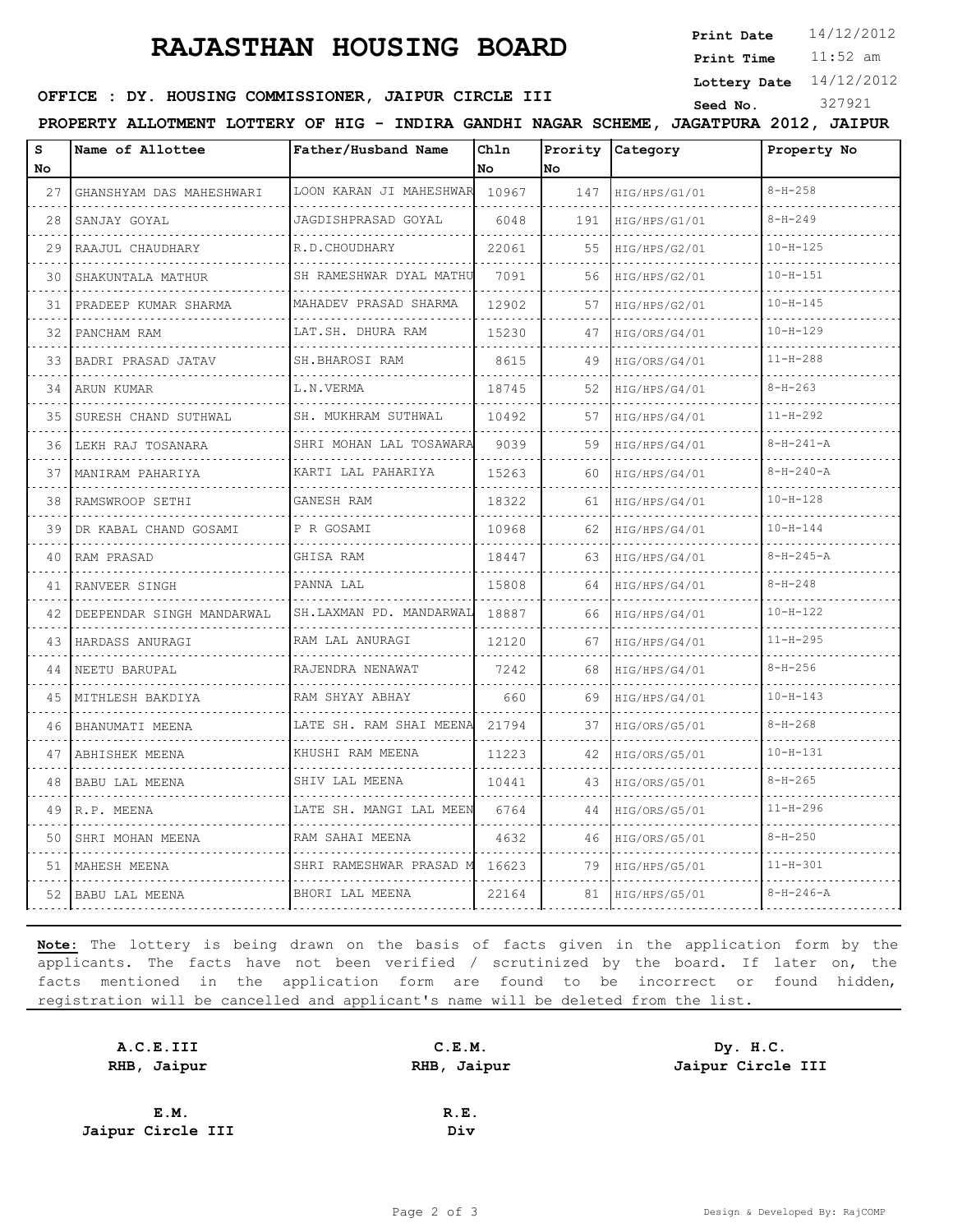# **RAJASTHAN HOUSING BOARD**

**Print Date**  $14/12/2012$ 

11:52 am **Print Time**

**Lottery Date** 14/12/2012

#### **SEED OFFICE : DY. HOUSING COMMISSIONER, JAIPUR CIRCLE III** Seed No. 327921

**PROPERTY ALLOTMENT LOTTERY OF HIG - INDIRA GANDHI NAGAR SCHEME, JAGATPURA 2012, JAIPUR**

| s<br>No | Name of Allottee          | Father/Husband Name     | Chln<br>No | Prority<br>No | Category      | Property No       |
|---------|---------------------------|-------------------------|------------|---------------|---------------|-------------------|
| 27      | GHANSHYAM DAS MAHESHWARI  | LOON KARAN JI MAHESHWAR | 10967      | 147           | HIG/HPS/G1/01 | $8 - H - 258$     |
| 28      | SANJAY GOYAL              | JAGDISHPRASAD GOYAL     | 6048       | 191           | HIG/HPS/G1/01 | $8 - H - 249$     |
| 29      | RAAJUL CHAUDHARY          | R.D.CHOUDHARY           | 22061      | 55            | HIG/HPS/G2/01 | $10 - H - 125$    |
| 30      | SHAKUNTALA MATHUR         | SH RAMESHWAR DYAL MATHU | 7091       | 56            | HIG/HPS/G2/01 | $10 - H - 151$    |
| 31      | PRADEEP KUMAR SHARMA      | MAHADEV PRASAD SHARMA   | 12902      | 57            | HIG/HPS/G2/01 | $10 - H - 145$    |
| 32      | PANCHAM RAM               | LAT.SH. DHURA RAM       | 15230      | 47            | HIG/ORS/G4/01 | $10 - H - 129$    |
| 33      | .<br>BADRI PRASAD JATAV   | .<br>SH.BHAROSI RAM     | 8615       | 49            | HIG/ORS/G4/01 | $11 - H - 288$    |
| 34      | ARUN KUMAR                | L.N.VERMA               | 18745      | 52            | HIG/HPS/G4/01 | $8-H-263$         |
| 35      | SURESH CHAND SUTHWAL      | SH. MUKHRAM SUTHWAL     | 10492      | 57            | HIG/HPS/G4/01 | $11 - H - 292$    |
| 36      | LEKH RAJ TOSANARA         | SHRI MOHAN LAL TOSAWARA | 9039       | 59            | HIG/HPS/G4/01 | $8 - H - 241 - A$ |
| 37      | MANIRAM PAHARIYA          | KARTI LAL PAHARIYA      | 15263      | 60            | HIG/HPS/G4/01 | $8 - H - 240 - A$ |
| 38      | RAMSWROOP SETHI           | GANESH RAM              | 18322      | 61            | HIG/HPS/G4/01 | $10 - H - 128$    |
| 39      | DR KABAL CHAND GOSAMI     | P R GOSAMI              | 10968      | 62            | HIG/HPS/G4/01 | $10 - H - 144$    |
| 40      | RAM PRASAD                | GHISA RAM               | 18447      | 63.           | HIG/HPS/G4/01 | $8 - H - 245 - A$ |
| 41      | RANVEER SINGH             | PANNA LAL               | 15808      | 64            | HIG/HPS/G4/01 | $8 - H - 248$     |
| 42      | DEEPENDAR SINGH MANDARWAL | SH.LAXMAN PD. MANDARWAL | 18887      | 66            | HIG/HPS/G4/01 | $10 - H - 122$    |
| 43      | HARDASS ANURAGI           | RAM LAL ANURAGI         | 12120      | 67            | HIG/HPS/G4/01 | $11 - H - 295$    |
| 44      | NEETU BARUPAL             | RAJENDRA NENAWAT<br>.   | 7242       | 68            | HIG/HPS/G4/01 | $8 - H - 256$     |
| 45      | MITHLESH BAKDIYA          | RAM SHYAY ABHAY         | 660        | 69            | HIG/HPS/G4/01 | $10 - H - 143$    |
| 46      | BHANUMATI MEENA           | LATE SH. RAM SHAI MEENA | 21794      | 37            | HIG/ORS/G5/01 | $8 - H - 268$     |
| 47      | ABHISHEK MEENA            | KHUSHI RAM MEENA        | 11223      | 42            | HIG/ORS/G5/01 | $10 - H - 131$    |
| 48      | BABU LAL MEENA            | SHIV LAL MEENA          | 10441      | 43            | HIG/ORS/G5/01 | $8 - H - 265$     |
| 49      | R.P. MEENA                | LATE SH. MANGI LAL MEEN | 6764       | 44            | HIG/ORS/G5/01 | $11 - H - 296$    |
| 50      | SHRI MOHAN MEENA          | RAM SAHAI MEENA         | 4632       | 46            | HIG/ORS/G5/01 | $8 - H - 250$     |
| 51      | MAHESH MEENA              | SHRI RAMESHWAR PRASAD M | 16623      | 79            | HIG/HPS/G5/01 | $11 - H - 301$    |
| 52      | BABU LAL MEENA            | BHORI LAL MEENA         | 22164      | 81            | HIG/HPS/G5/01 | $8 - H - 246 - A$ |

**Note:** The lottery is being drawn on the basis of facts given in the application form by the applicants. The facts have not been verified / scrutinized by the board. If later on, the facts mentioned in the application form are found to be incorrect or found hidden, registration will be cancelled and applicant's name will be deleted from the list.

| A.C.E.III         | C.E.M.      | Dy. H.C.          |
|-------------------|-------------|-------------------|
| RHB, Jaipur       | RHB, Jaipur | Jaipur Circle III |
|                   |             |                   |
| E.M.              | R.E.        |                   |
| Jaipur Circle III | Div         |                   |